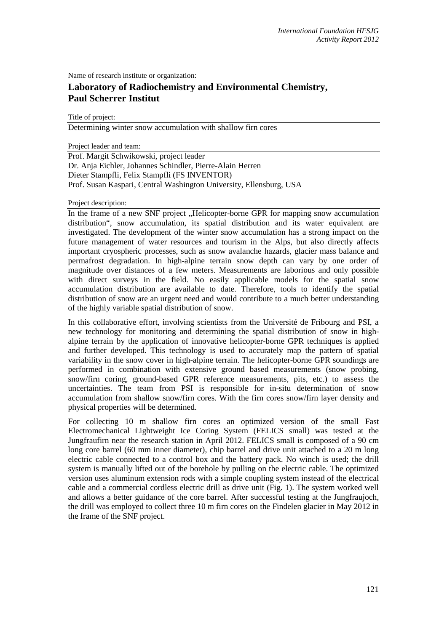Name of research institute or organization:

## **Laboratory of Radiochemistry and Environmental Chemistry, Paul Scherrer Institut**

Title of project:

Determining winter snow accumulation with shallow firn cores

Project leader and team:

Prof. Margit Schwikowski, project leader Dr. Anja Eichler, Johannes Schindler, Pierre-Alain Herren Dieter Stampfli, Felix Stampfli (FS INVENTOR) Prof. Susan Kaspari, Central Washington University, Ellensburg, USA

## Project description:

In the frame of a new SNF project , Helicopter-borne GPR for mapping snow accumulation distribution", snow accumulation, its spatial distribution and its water equivalent are investigated. The development of the winter snow accumulation has a strong impact on the future management of water resources and tourism in the Alps, but also directly affects important cryospheric processes, such as snow avalanche hazards, glacier mass balance and permafrost degradation. In high-alpine terrain snow depth can vary by one order of magnitude over distances of a few meters. Measurements are laborious and only possible with direct surveys in the field. No easily applicable models for the spatial snow accumulation distribution are available to date. Therefore, tools to identify the spatial distribution of snow are an urgent need and would contribute to a much better understanding of the highly variable spatial distribution of snow.

In this collaborative effort, involving scientists from the Université de Fribourg and PSI, a new technology for monitoring and determining the spatial distribution of snow in highalpine terrain by the application of innovative helicopter-borne GPR techniques is applied and further developed. This technology is used to accurately map the pattern of spatial variability in the snow cover in high-alpine terrain. The helicopter-borne GPR soundings are performed in combination with extensive ground based measurements (snow probing, snow/firn coring, ground-based GPR reference measurements, pits, etc.) to assess the uncertainties. The team from PSI is responsible for in-situ determination of snow accumulation from shallow snow/firn cores. With the firn cores snow/firn layer density and physical properties will be determined.

For collecting 10 m shallow firn cores an optimized version of the small Fast Electromechanical Lightweight Ice Coring System (FELICS small) was tested at the Jungfraufirn near the research station in April 2012. FELICS small is composed of a 90 cm long core barrel (60 mm inner diameter), chip barrel and drive unit attached to a 20 m long electric cable connected to a control box and the battery pack. No winch is used; the drill system is manually lifted out of the borehole by pulling on the electric cable. The optimized version uses aluminum extension rods with a simple coupling system instead of the electrical cable and a commercial cordless electric drill as drive unit (Fig. 1). The system worked well and allows a better guidance of the core barrel. After successful testing at the Jungfraujoch, the drill was employed to collect three 10 m firn cores on the Findelen glacier in May 2012 in the frame of the SNF project.